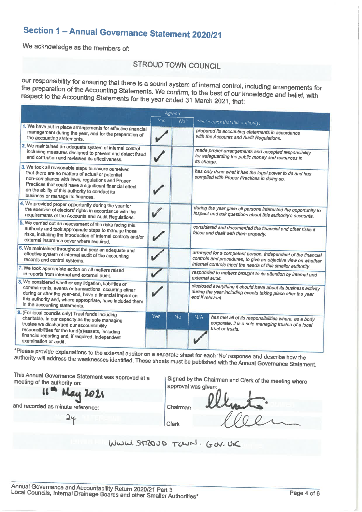# Section 1 - Annual Governance Statement 2020/21

We acknowledge as the members of:

## **STROUD TOWN COUNCIL**

our responsibility for ensuring that there is a sound system of internal control, including arrangements for the preparation of the Accounting Statements. We confirm, to the best of our knowledge and belief, with respect to the Accounting Statements for the year ended 31 March 2021, that:

|                                                                                                                                                                                                                                                                                                                | Agreed |     |                                                                                                                                                                                               |  |  |
|----------------------------------------------------------------------------------------------------------------------------------------------------------------------------------------------------------------------------------------------------------------------------------------------------------------|--------|-----|-----------------------------------------------------------------------------------------------------------------------------------------------------------------------------------------------|--|--|
|                                                                                                                                                                                                                                                                                                                | Yes    | No' | Yes means that this authority:                                                                                                                                                                |  |  |
| 1. We have put in place arrangements for effective financial<br>management during the year, and for the preparation of<br>the accounting statements.                                                                                                                                                           |        |     | prepared its accounting statements in accordance<br>with the Accounts and Audit Regulations.                                                                                                  |  |  |
| 2. We maintained an adequate system of internal control<br>including measures designed to prevent and detect fraud<br>and corruption and reviewed its effectiveness.                                                                                                                                           |        |     | made proper arrangements and accepted responsibility<br>for safeguarding the public money and resources in<br>its charge.                                                                     |  |  |
| 3. We took all reasonable steps to assure ourselves<br>that there are no matters of actual or potential<br>non-compliance with laws, regulations and Proper<br>Practices that could have a significant financial effect<br>on the ability of this authority to conduct its<br>business or manage its finances. |        |     | has only done what it has the legal power to do and has<br>complied with Proper Practices in doing so.                                                                                        |  |  |
| 4. We provided proper opportunity during the year for<br>the exercise of electors' rights in accordance with the<br>requirements of the Accounts and Audit Regulations.                                                                                                                                        |        |     | during the year gave all persons interested the opportunity to<br>inspect and ask questions about this authority's accounts.                                                                  |  |  |
| 5. We carried out an assessment of the risks facing this<br>authority and took appropriate steps to manage those<br>risks, including the introduction of internal controls and/or<br>external insurance cover where required.                                                                                  |        |     | considered and documented the financial and other risks it<br>faces and dealt with them properly.                                                                                             |  |  |
| 6. We maintained throughout the year an adequate and<br>effective system of internal audit of the accounting<br>records and control systems.                                                                                                                                                                   |        |     | arranged for a competent person, independent of the financial<br>controls and procedures, to give an objective view on whether<br>internal controls meet the needs of this smaller authority. |  |  |
| 7. We took appropriate action on all matters raised<br>in reports from internal and external audit.                                                                                                                                                                                                            |        |     | responded to matters brought to its attention by internal and<br>external audit.                                                                                                              |  |  |
| 8. We considered whether any litigation, liabilities or<br>commitments, events or transactions, occurring either<br>during or after the year-end, have a financial impact on<br>this authority and, where appropriate, have included them<br>in the accounting statements.                                     |        |     | disclosed everything it should have about its business activity<br>during the year including events taking place after the year<br>end if relevant.                                           |  |  |
| 9. (For local councils only) Trust funds including<br>charitable. In our capacity as the sole managing<br>trustee we discharged our accountability<br>responsibilities for the fund(s)/assets, including<br>financial reporting and, if required, independent<br>examination or audit.                         | Yes    | No  | N/A<br>has met all of its responsibilities where, as a body<br>corporate, it is a sole managing trustee of a local<br>trust or trusts.                                                        |  |  |
|                                                                                                                                                                                                                                                                                                                |        |     |                                                                                                                                                                                               |  |  |

\*Please provide explanations to the external auditor on a separate sheet for each 'No' response and describe how the authority will address the weaknesses identified. These sheets must be published with the Annual Governance Statement.

This Annual Governance Statement was approved at a meeting of the authority on:

ay 2025

Signed by the Chairman and Clerk of the meeting where approval was given:

and recorded as minute reference:

 $\mathbf{u}$ 

Chairman

Clerk

WWW. STROUD TOWN. GOV. UK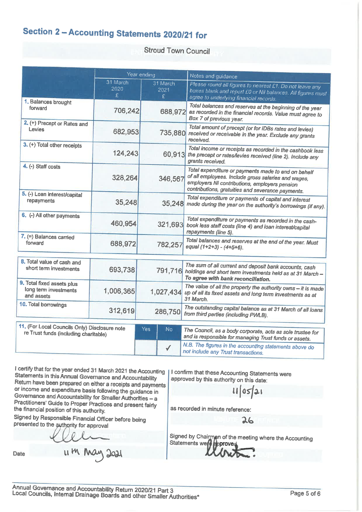## Section 2 - Accounting Statements 2020/21 for

### **Stroud Town Council**

|                                                                                        |                       | Year ending            | Notes and guidance                                                                                                                                                                                               |  |  |
|----------------------------------------------------------------------------------------|-----------------------|------------------------|------------------------------------------------------------------------------------------------------------------------------------------------------------------------------------------------------------------|--|--|
| 1. Balances brought                                                                    | 31 March<br>2020<br>£ | 31 March<br>2021<br>£. | Please round all figures to nearest £1. Do not leave any<br>boxes blank and report £0 or Nil balances. All figures must<br>agree to underlying financial records.                                                |  |  |
| forward                                                                                | 706,242               | 688,972                | Total balances and reserves at the beginning of the year<br>as recorded in the financial records. Value must agree to<br>Box 7 of previous year.                                                                 |  |  |
| 2. (+) Precept or Rates and<br>Levies                                                  | 682,953               |                        | Total amount of precept (or for IDBs rates and levies)<br>735,880 received or receivable in the year. Exclude any grants<br>received.                                                                            |  |  |
| 3. (+) Total other receipts                                                            | 124,243               | 60,913                 | Total income or receipts as recorded in the cashbook less<br>the precept or rates/levies received (line 2). Include any<br>grants received.                                                                      |  |  |
| 4. (-) Staff costs                                                                     | 328,264               | 346,567                | Total expenditure or payments made to and on behalf<br>of all employees. Include gross salaries and wages,<br>employers NI contributions, employers pension<br>contributions, gratuities and severance payments. |  |  |
| 5. (-) Loan interest/capital<br>repayments                                             | 35,248                |                        | Total expenditure or payments of capital and interest<br>35,248 made during the year on the authority's borrowings (if any).                                                                                     |  |  |
| 6. (-) All other payments                                                              | 460,954               | 321,693                | Total expenditure or payments as recorded in the cash-<br>book less staff costs (line 4) and loan interest/capital<br>repayments (line 5).                                                                       |  |  |
| $7.$ (=) Balances carried<br>forward                                                   | 688,972               | 782,257                | Total balances and reserves at the end of the year. Must<br>equal (1+2+3) - (4+5+6).                                                                                                                             |  |  |
| 8. Total value of cash and                                                             |                       |                        |                                                                                                                                                                                                                  |  |  |
| short term investments                                                                 | 693,738               |                        | The sum of all current and deposit bank accounts, cash<br>791,716 holdings and short term investments held as at 31 March -<br>To agree with bank reconciliation.                                                |  |  |
| 9. Total fixed assets plus<br>long term investments<br>and assets                      | 1,006,365             | 1,027,434              | The value of all the property the authority owns - it is made<br>up of all its fixed assets and long term investments as at<br>31 March.                                                                         |  |  |
| 10. Total borrowings                                                                   | 312,619               | 286,750                | The outstanding capital balance as at 31 March of all loans<br>from third parties (including PWLB).                                                                                                              |  |  |
| 11. (For Local Councils Only) Disclosure note<br>re Trust funds (including charitable) |                       | Yes<br>N <sub>o</sub>  | The Council, as a body corporate, acts as sole trustee for<br>and is responsible for managing Trust funds or assets.                                                                                             |  |  |
|                                                                                        |                       | $\checkmark$           | N.B. The figures in the accounting statements above do<br>not include any Trust transactions.                                                                                                                    |  |  |

I certify that for the year ended 31 March 2021 the Accounting Statements in this Annual Governance and Accountability Return have been prepared on either a receipts and payments or income and expenditure basis following the guidance in Governance and Accountability for Smaller Authorities - a Practitioners' Guide to Proper Practices and present fairly the financial position of this authority.

Signed by Responsible Financial Officer before being presented to the authority for approval

Date

11 M May 2021

I confirm that these Accounting Statements were approved by this authority on this date:

 $11|05|21$ 

26

as recorded in minute reference:

Signed by Chairman of the meeting where the Accounting<br>Statements were approved